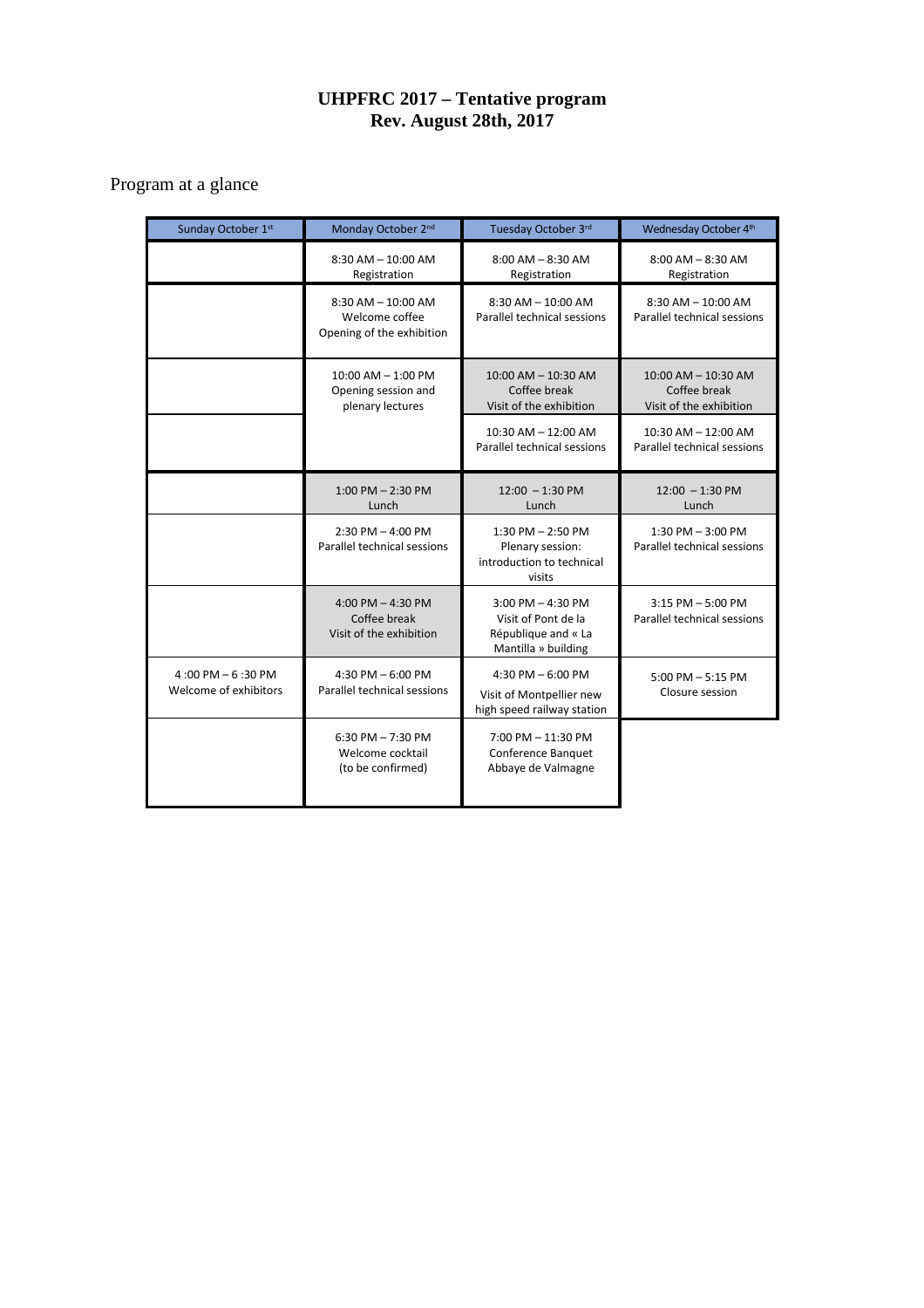# **UHPFRC 2017 – Tentative program Rev. August 28th, 2017**

# Program at a glance

| Sunday October 1st                            | Monday October 2nd                                                    | Tuesday October 3rd                                                                        | Wednesday October 4th                                              |
|-----------------------------------------------|-----------------------------------------------------------------------|--------------------------------------------------------------------------------------------|--------------------------------------------------------------------|
|                                               | $8:30$ AM $- 10:00$ AM<br>Registration                                | $8:00$ AM $-8:30$ AM<br>Registration                                                       | $8:00$ AM $- 8:30$ AM<br>Registration                              |
|                                               | $8:30$ AM $- 10:00$ AM<br>Welcome coffee<br>Opening of the exhibition | $8:30$ AM $- 10:00$ AM<br>Parallel technical sessions                                      | $8:30$ AM $- 10:00$ AM<br>Parallel technical sessions              |
|                                               | $10:00$ AM $- 1:00$ PM<br>Opening session and<br>plenary lectures     | 10:00 AM - 10:30 AM<br>Coffee break<br>Visit of the exhibition                             | $10:00$ AM $- 10:30$ AM<br>Coffee break<br>Visit of the exhibition |
|                                               |                                                                       | $10:30$ AM $- 12:00$ AM<br>Parallel technical sessions                                     | $10:30$ AM $- 12:00$ AM<br>Parallel technical sessions             |
|                                               | $1:00$ PM $- 2:30$ PM<br>Lunch                                        | $12:00 - 1:30 \text{ PM}$<br>Lunch                                                         | $12:00 - 1:30 \text{ PM}$<br>Lunch                                 |
|                                               | $2:30$ PM $- 4:00$ PM<br>Parallel technical sessions                  | $1:30$ PM $- 2:50$ PM<br>Plenary session:<br>introduction to technical<br>visits           | $1:30$ PM $-3:00$ PM<br>Parallel technical sessions                |
|                                               | 4:00 PM $-$ 4:30 PM<br>Coffee break<br>Visit of the exhibition        | $3:00$ PM $- 4:30$ PM<br>Visit of Pont de la<br>République and « La<br>Mantilla » building | $3:15$ PM $-5:00$ PM<br>Parallel technical sessions                |
| $4:00$ PM $-6:30$ PM<br>Welcome of exhibitors | 4:30 PM $-6:00$ PM<br>Parallel technical sessions                     | 4:30 PM $-6:00$ PM<br>Visit of Montpellier new<br>high speed railway station               | $5:00$ PM $-5:15$ PM<br>Closure session                            |
|                                               | $6:30$ PM $- 7:30$ PM<br>Welcome cocktail<br>(to be confirmed)        | 7:00 PM - 11:30 PM<br>Conference Banquet<br>Abbaye de Valmagne                             |                                                                    |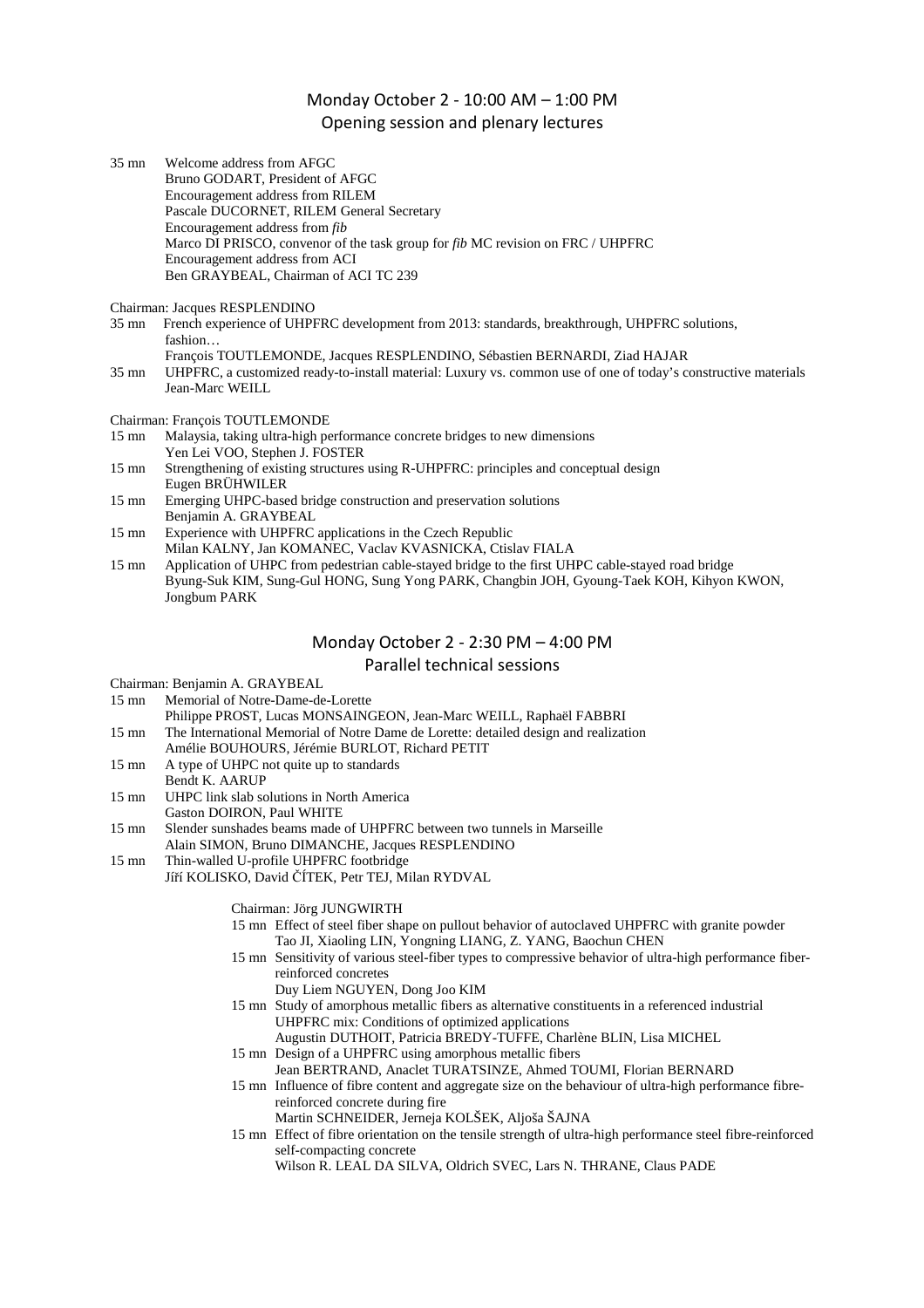# Monday October 2 - 10:00 AM – 1:00 PM Opening session and plenary lectures

| 35 mn | Welcome address from AFGC                                                              |
|-------|----------------------------------------------------------------------------------------|
|       | Bruno GODART, President of AFGC                                                        |
|       | Encouragement address from RILEM                                                       |
|       | Pascale DUCORNET, RILEM General Secretary                                              |
|       | Encouragement address from fib                                                         |
|       | Marco DI PRISCO, convenor of the task group for <i>fib</i> MC revision on FRC / UHPFRC |
|       | Encouragement address from ACI                                                         |
|       | Ben GRAYBEAL, Chairman of ACI TC 239                                                   |
|       |                                                                                        |

Chairman: Jacques RESPLENDINO

- 35 mn French experience of UHPFRC development from 2013: standards, breakthrough, UHPFRC solutions, fashion… François TOUTLEMONDE, Jacques RESPLENDINO, Sébastien BERNARDI, Ziad HAJAR
- 35 mn UHPFRC, a customized ready-to-install material: Luxury vs. common use of one of today's constructive materials Jean-Marc WEILL

Chairman: François TOUTLEMONDE

- 15 mn Malaysia, taking ultra-high performance concrete bridges to new dimensions Yen Lei VOO, Stephen J. FOSTER<br>15 mp Strengthening of existing structures
- Strengthening of existing structures using R-UHPFRC: principles and conceptual design Eugen BRÜHWILER
- 15 mn Emerging UHPC-based bridge construction and preservation solutions Benjamin A. GRAYBEAL
- 15 mn Experience with UHPFRC applications in the Czech Republic Milan KALNY, Jan KOMANEC, Vaclav KVASNICKA, Ctislav FIALA
- 15 mn Application of UHPC from pedestrian cable-stayed bridge to the first UHPC cable-stayed road bridge Byung-Suk KIM, Sung-Gul HONG, Sung Yong PARK, Changbin JOH, Gyoung-Taek KOH, Kihyon KWON, Jongbum PARK

# Monday October 2 - 2:30 PM – 4:00 PM Parallel technical sessions

Chairman: Benjamin A. GRAYBEAL

- 15 mn Memorial of Notre-Dame-de-Lorette Philippe PROST, Lucas MONSAINGEON, Jean-Marc WEILL, Raphaël FABBRI
- 15 mn The International Memorial of Notre Dame de Lorette: detailed design and realization
- Amélie BOUHOURS, Jérémie BURLOT, Richard PETIT 15 mn A type of UHPC not quite up to standards
- Bendt K. AARUP
- 15 mn UHPC link slab solutions in North America Gaston DOIRON, Paul WHITE
- 15 mn Slender sunshades beams made of UHPFRC between two tunnels in Marseille Alain SIMON, Bruno DIMANCHE, Jacques RESPLENDINO
- 15 mn Thin-walled U-profile UHPFRC footbridge
	- Jíří KOLISKO, David ČÍTEK, Petr TEJ, Milan RYDVAL

Chairman: Jörg JUNGWIRTH

- 15 mn Effect of steel fiber shape on pullout behavior of autoclaved UHPFRC with granite powder Tao JI, Xiaoling LIN, Yongning LIANG, Z. YANG, Baochun CHEN
- 15 mn Sensitivity of various steel-fiber types to compressive behavior of ultra-high performance fiberreinforced concretes
	- Duy Liem NGUYEN, Dong Joo KIM
- 15 mn Study of amorphous metallic fibers as alternative constituents in a referenced industrial UHPFRC mix: Conditions of optimized applications
- Augustin DUTHOIT, Patricia BREDY-TUFFE, Charlène BLIN, Lisa MICHEL 15 mn Design of a UHPFRC using amorphous metallic fibers
- Jean BERTRAND, Anaclet TURATSINZE, Ahmed TOUMI, Florian BERNARD 15 mn Influence of fibre content and aggregate size on the behaviour of ultra-high performance fibre-
- reinforced concrete during fire Martin SCHNEIDER, Jerneja KOLŠEK, Aljoša ŠAJNA
- 15 mn Effect of fibre orientation on the tensile strength of ultra-high performance steel fibre-reinforced self-compacting concrete
	- Wilson R. LEAL DA SILVA, Oldrich SVEC, Lars N. THRANE, Claus PADE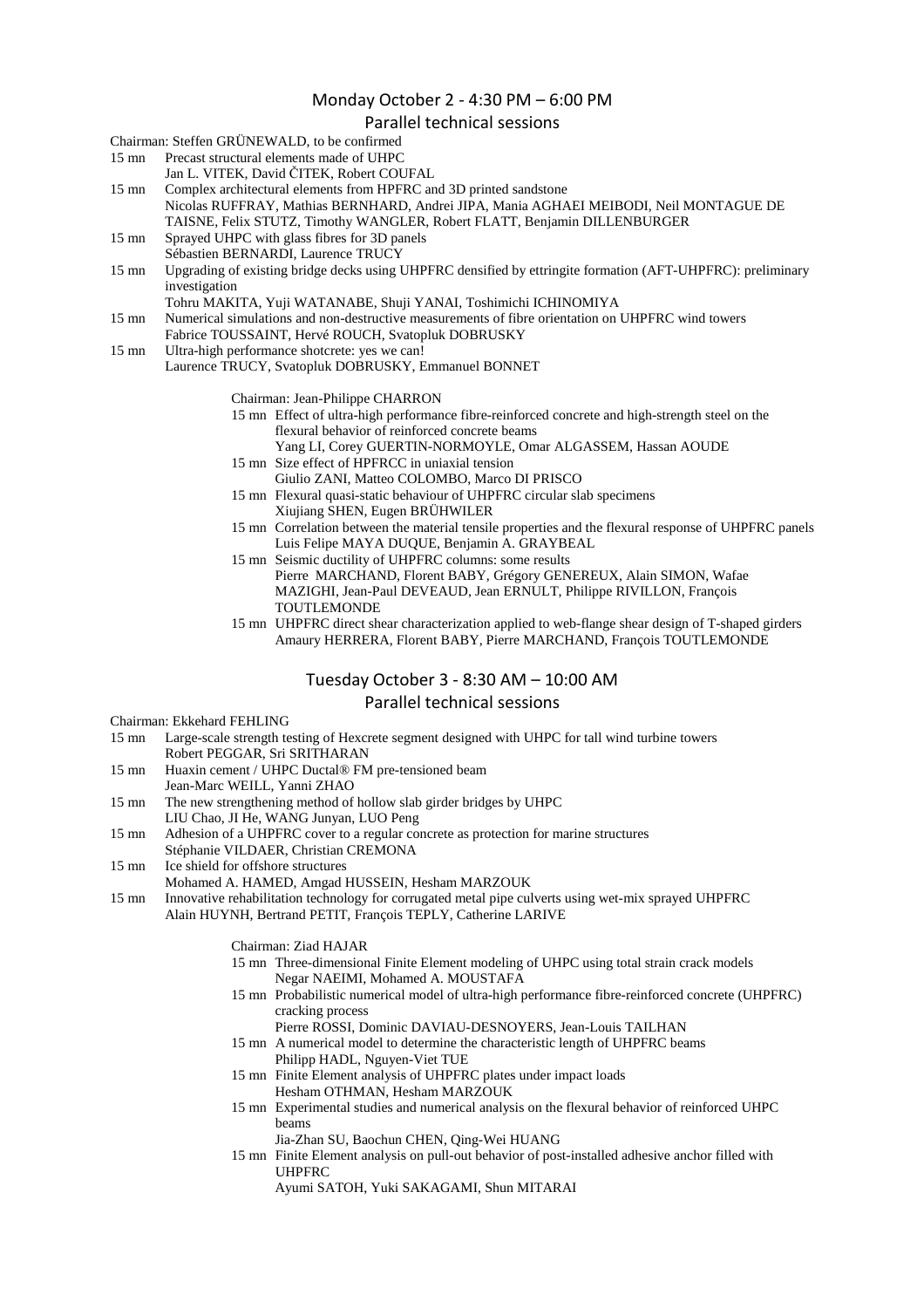### Monday October 2 - 4:30 PM – 6:00 PM

#### Parallel technical sessions

Chairman: Steffen GRÜNEWALD, to be confirmed

- 15 mn Precast structural elements made of UHPC
	- Jan L. VITEK, David ČITEK, Robert COUFAL

15 mn Complex architectural elements from HPFRC and 3D printed sandstone Nicolas RUFFRAY, Mathias BERNHARD, Andrei JIPA, Mania AGHAEI MEIBODI, Neil MONTAGUE DE

TAISNE, Felix STUTZ, Timothy WANGLER, Robert FLATT, Benjamin DILLENBURGER

- 15 mn Sprayed UHPC with glass fibres for 3D panels Sébastien BERNARDI, Laurence TRUCY
- 15 mn Upgrading of existing bridge decks using UHPFRC densified by ettringite formation (AFT-UHPFRC): preliminary investigation
	- Tohru MAKITA, Yuji WATANABE, Shuji YANAI, Toshimichi ICHINOMIYA
- 15 mn Numerical simulations and non-destructive measurements of fibre orientation on UHPFRC wind towers
- Fabrice TOUSSAINT, Hervé ROUCH, Svatopluk DOBRUSKY
- 15 mn Ultra-high performance shotcrete: yes we can!

Laurence TRUCY, Svatopluk DOBRUSKY, Emmanuel BONNET

- Chairman: Jean-Philippe CHARRON
- 15 mn Effect of ultra-high performance fibre-reinforced concrete and high-strength steel on the flexural behavior of reinforced concrete beams
	- Yang LI, Corey GUERTIN-NORMOYLE, Omar ALGASSEM, Hassan AOUDE
- 15 mn Size effect of HPFRCC in uniaxial tension Giulio ZANI, Matteo COLOMBO, Marco DI PRISCO
- 15 mn Flexural quasi-static behaviour of UHPFRC circular slab specimens
	- Xiujiang SHEN, Eugen BRÜHWILER
- 15 mn Correlation between the material tensile properties and the flexural response of UHPFRC panels Luis Felipe MAYA DUQUE, Benjamin A. GRAYBEAL
- 15 mn Seismic ductility of UHPFRC columns: some results Pierre MARCHAND, Florent BABY, Grégory GENEREUX, Alain SIMON, Wafae MAZIGHI, Jean-Paul DEVEAUD, Jean ERNULT, Philippe RIVILLON, François **TOUTLEMONDE**
- 15 mn UHPFRC direct shear characterization applied to web-flange shear design of T-shaped girders Amaury HERRERA, Florent BABY, Pierre MARCHAND, François TOUTLEMONDE

## Tuesday October 3 - 8:30 AM – 10:00 AM

## Parallel technical sessions

- Chairman: Ekkehard FEHLING<br>15 mn Large-scale strength te
- Large-scale strength testing of Hexcrete segment designed with UHPC for tall wind turbine towers Robert PEGGAR, Sri SRITHARAN
- 15 mn Huaxin cement / UHPC Ductal® FM pre-tensioned beam Jean-Marc WEILL, Yanni ZHAO
- 15 mn The new strengthening method of hollow slab girder bridges by UHPC
- LIU Chao, JI He, WANG Junyan, LUO Peng
- 15 mn Adhesion of a UHPFRC cover to a regular concrete as protection for marine structures
- Stéphanie VILDAER, Christian CREMONA
- 15 mn Ice shield for offshore structures
- Mohamed A. HAMED, Amgad HUSSEIN, Hesham MARZOUK
- 15 mn Innovative rehabilitation technology for corrugated metal pipe culverts using wet-mix sprayed UHPFRC Alain HUYNH, Bertrand PETIT, François TEPLY, Catherine LARIVE
	- Chairman: Ziad HAJAR
	- 15 mn Three-dimensional Finite Element modeling of UHPC using total strain crack models Negar NAEIMI, Mohamed A. MOUSTAFA
	- 15 mn Probabilistic numerical model of ultra-high performance fibre-reinforced concrete (UHPFRC) cracking process
		- Pierre ROSSI, Dominic DAVIAU-DESNOYERS, Jean-Louis TAILHAN
	- 15 mn A numerical model to determine the characteristic length of UHPFRC beams Philipp HADL, Nguyen-Viet TUE
	- 15 mn Finite Element analysis of UHPFRC plates under impact loads Hesham OTHMAN, Hesham MARZOUK
	- 15 mn Experimental studies and numerical analysis on the flexural behavior of reinforced UHPC beams
		- Jia-Zhan SU, Baochun CHEN, Qing-Wei HUANG
	- 15 mn Finite Element analysis on pull-out behavior of post-installed adhesive anchor filled with UHPFRC

Ayumi SATOH, Yuki SAKAGAMI, Shun MITARAI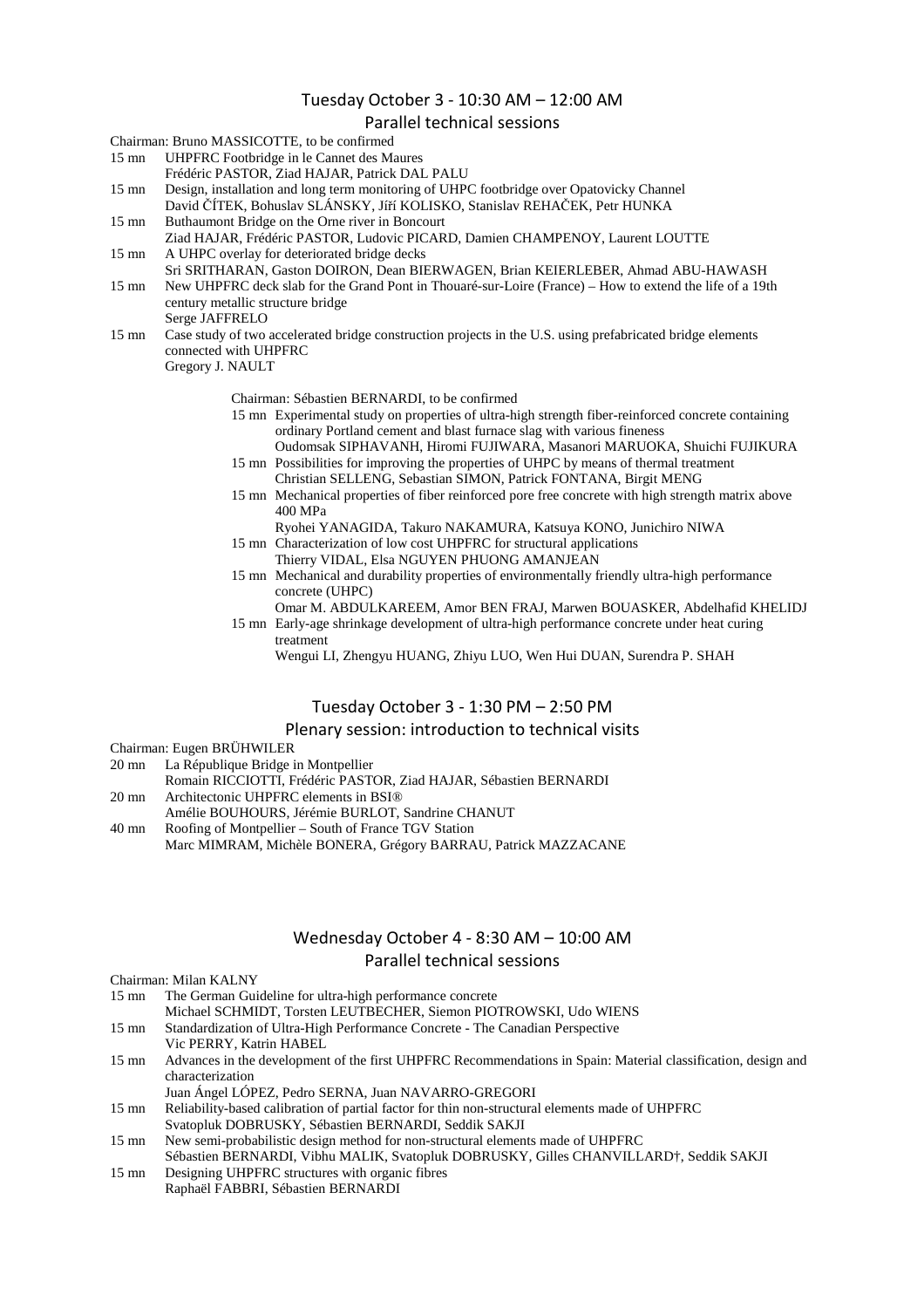## Tuesday October 3 - 10:30 AM – 12:00 AM

#### Parallel technical sessions

Chairman: Bruno MASSICOTTE, to be confirmed

- 15 mn UHPFRC Footbridge in le Cannet des Maures
	- Frédéric PASTOR, Ziad HAJAR, Patrick DAL PALU

15 mn Design, installation and long term monitoring of UHPC footbridge over Opatovicky Channel David ČÍTEK, Bohuslav SLÁNSKY, Jíří KOLISKO, Stanislav REHAČEK, Petr HUNKA 15 mn Buthaumont Bridge on the Orne river in Boncourt

- Ziad HAJAR, Frédéric PASTOR, Ludovic PICARD, Damien CHAMPENOY, Laurent LOUTTE 15 mn A UHPC overlay for deteriorated bridge decks
- Sri SRITHARAN, Gaston DOIRON, Dean BIERWAGEN, Brian KEIERLEBER, Ahmad ABU-HAWASH
- 15 mn New UHPFRC deck slab for the Grand Pont in Thouaré-sur-Loire (France) How to extend the life of a 19th century metallic structure bridge Serge JAFFRELO
- 15 mn Case study of two accelerated bridge construction projects in the U.S. using prefabricated bridge elements connected with UHPFRC Gregory J. NAULT

Chairman: Sébastien BERNARDI, to be confirmed

15 mn Experimental study on properties of ultra-high strength fiber-reinforced concrete containing ordinary Portland cement and blast furnace slag with various fineness

Oudomsak SIPHAVANH, Hiromi FUJIWARA, Masanori MARUOKA, Shuichi FUJIKURA 15 mn Possibilities for improving the properties of UHPC by means of thermal treatment

- Christian SELLENG, Sebastian SIMON, Patrick FONTANA, Birgit MENG 15 mn Mechanical properties of fiber reinforced pore free concrete with high strength matrix above
- 400 MPa
- Ryohei YANAGIDA, Takuro NAKAMURA, Katsuya KONO, Junichiro NIWA 15 mn Characterization of low cost UHPFRC for structural applications
- Thierry VIDAL, Elsa NGUYEN PHUONG AMANJEAN
- 15 mn Mechanical and durability properties of environmentally friendly ultra-high performance concrete (UHPC)
- Omar M. ABDULKAREEM, Amor BEN FRAJ, Marwen BOUASKER, Abdelhafid KHELIDJ 15 mn Early-age shrinkage development of ultra-high performance concrete under heat curing treatment

Wengui LI, Zhengyu HUANG, Zhiyu LUO, Wen Hui DUAN, Surendra P. SHAH

# Tuesday October 3 - 1:30 PM – 2:50 PM

Plenary session: introduction to technical visits

Chairman: Eugen BRÜHWILER

20 mn La République Bridge in Montpellier

Romain RICCIOTTI, Frédéric PASTOR, Ziad HAJAR, Sébastien BERNARDI

- 20 mn Architectonic UHPFRC elements in BSI®
- Amélie BOUHOURS, Jérémie BURLOT, Sandrine CHANUT
- 40 mn Roofing of Montpellier South of France TGV Station Marc MIMRAM, Michèle BONERA, Grégory BARRAU, Patrick MAZZACANE

# Wednesday October 4 - 8:30 AM – 10:00 AM Parallel technical sessions

Chairman: Milan KALNY

- The German Guideline for ultra-high performance concrete Michael SCHMIDT, Torsten LEUTBECHER, Siemon PIOTROWSKI, Udo WIENS
- 15 mn Standardization of Ultra-High Performance Concrete The Canadian Perspective
- Vic PERRY, Katrin HABEL 15 mn Advances in the development of the first UHPFRC Recommendations in Spain: Material classification, design and characterization

Juan Ángel LÓPEZ, Pedro SERNA, Juan NAVARRO-GREGORI

- 15 mn Reliability-based calibration of partial factor for thin non-structural elements made of UHPFRC
- Svatopluk DOBRUSKY, Sébastien BERNARDI, Seddik SAKJI
- 15 mn New semi-probabilistic design method for non-structural elements made of UHPFRC
- Sébastien BERNARDI, Vibhu MALIK, Svatopluk DOBRUSKY, Gilles CHANVILLARD†, Seddik SAKJI 15 mn Designing UHPFRC structures with organic fibres
- Raphaël FABBRI, Sébastien BERNARDI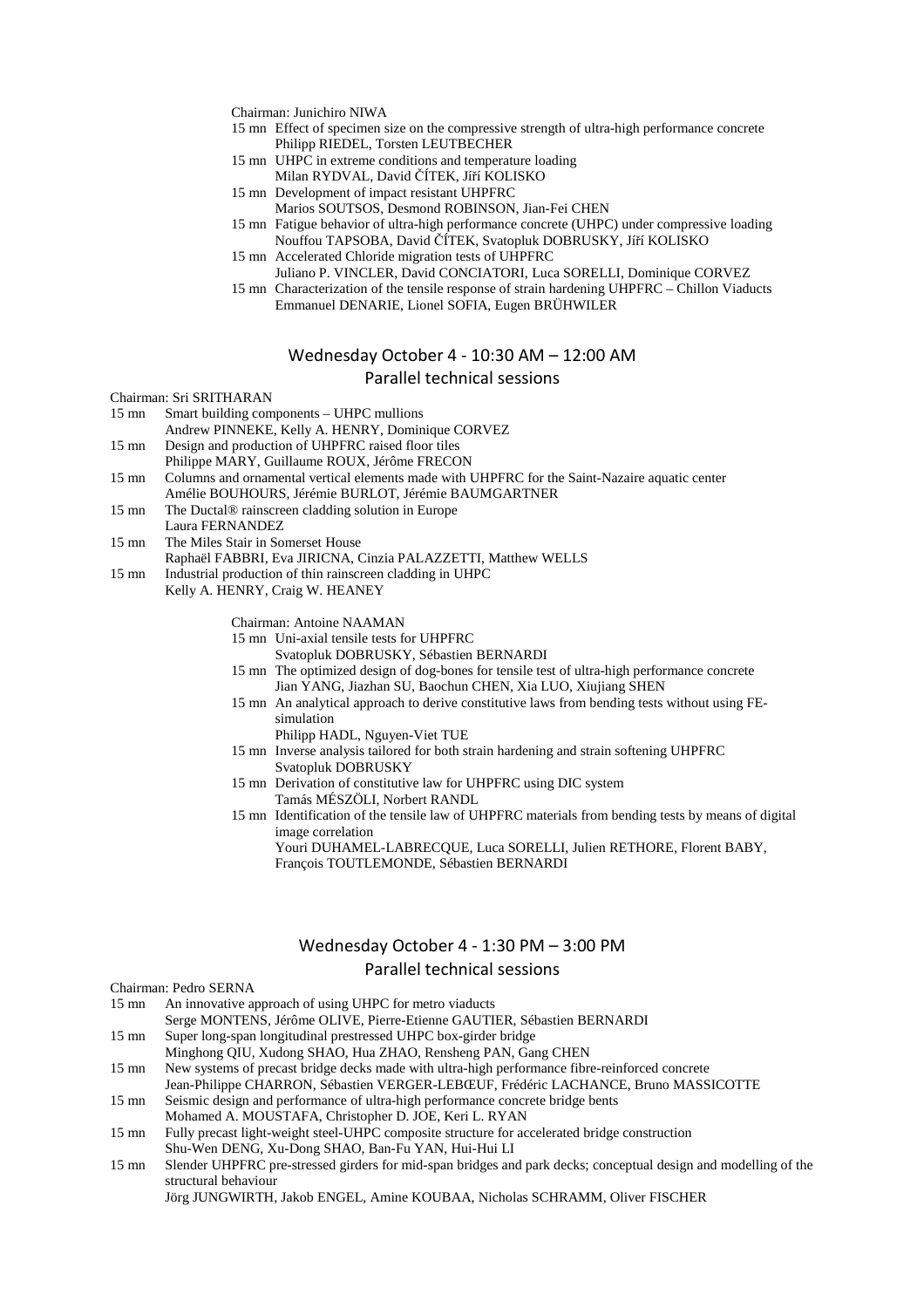Chairman: Junichiro NIWA

- 15 mn Effect of specimen size on the compressive strength of ultra-high performance concrete Philipp RIEDEL, Torsten LEUTBECHER
- 15 mn UHPC in extreme conditions and temperature loading
- Milan RYDVAL, David ČÍTEK, Jíří KOLISKO 15 mn Development of impact resistant UHPFRC
	- Marios SOUTSOS, Desmond ROBINSON, Jian-Fei CHEN
- 15 mn Fatigue behavior of ultra-high performance concrete (UHPC) under compressive loading Nouffou TAPSOBA, David ČÍTEK, Svatopluk DOBRUSKY, Jíří KOLISKO
- 15 mn Accelerated Chloride migration tests of UHPFRC
- Juliano P. VINCLER, David CONCIATORI, Luca SORELLI, Dominique CORVEZ 15 mn Characterization of the tensile response of strain hardening UHPFRC – Chillon Viaducts Emmanuel DENARIE, Lionel SOFIA, Eugen BRÜHWILER

#### Wednesday October 4 - 10:30 AM – 12:00 AM

#### Parallel technical sessions

Chairman: Sri SRITHARAN

15 mn Smart building components – UHPC mullions

- Andrew PINNEKE, Kelly A. HENRY, Dominique CORVEZ
- 15 mn Design and production of UHPFRC raised floor tiles
- Philippe MARY, Guillaume ROUX, Jérôme FRECON
- 15 mn Columns and ornamental vertical elements made with UHPFRC for the Saint-Nazaire aquatic center Amélie BOUHOURS, Jérémie BURLOT, Jérémie BAUMGARTNER
- 15 mn The Ductal® rainscreen cladding solution in Europe
- Laura FERNANDEZ
- 15 mn The Miles Stair in Somerset House
- Raphaël FABBRI, Eva JIRICNA, Cinzia PALAZZETTI, Matthew WELLS
- 15 mn Industrial production of thin rainscreen cladding in UHPC
- Kelly A. HENRY, Craig W. HEANEY
	- Chairman: Antoine NAAMAN
	- 15 mn Uni-axial tensile tests for UHPFRC
		- Svatopluk DOBRUSKY, Sébastien BERNARDI
	- 15 mn The optimized design of dog-bones for tensile test of ultra-high performance concrete Jian YANG, Jiazhan SU, Baochun CHEN, Xia LUO, Xiujiang SHEN
	- 15 mn An analytical approach to derive constitutive laws from bending tests without using FEsimulation
		- Philipp HADL, Nguyen-Viet TUE
	- 15 mn Inverse analysis tailored for both strain hardening and strain softening UHPFRC Svatopluk DOBRUSKY
	- 15 mn Derivation of constitutive law for UHPFRC using DIC system Tamás MÉSZÖLI, Norbert RANDL
	- 15 mn Identification of the tensile law of UHPFRC materials from bending tests by means of digital image correlation Youri DUHAMEL-LABRECQUE, Luca SORELLI, Julien RETHORE, Florent BABY, François TOUTLEMONDE, Sébastien BERNARDI

# Wednesday October 4 - 1:30 PM – 3:00 PM Parallel technical sessions

Chairman: Pedro SERNA

- 15 mn An innovative approach of using UHPC for metro viaducts
- Serge MONTENS, Jérôme OLIVE, Pierre-Etienne GAUTIER, Sébastien BERNARDI
- 15 mn Super long-span longitudinal prestressed UHPC box-girder bridge
- Minghong QIU, Xudong SHAO, Hua ZHAO, Rensheng PAN, Gang CHEN
- 15 mn New systems of precast bridge decks made with ultra-high performance fibre-reinforced concrete Jean-Philippe CHARRON, Sébastien VERGER-LEBŒUF, Frédéric LACHANCE, Bruno MASSICOTTE
- 15 mn Seismic design and performance of ultra-high performance concrete bridge bents Mohamed A. MOUSTAFA, Christopher D. JOE, Keri L. RYAN
- 15 mn Fully precast light-weight steel-UHPC composite structure for accelerated bridge construction Shu-Wen DENG, Xu-Dong SHAO, Ban-Fu YAN, Hui-Hui LI
- 15 mn Slender UHPFRC pre-stressed girders for mid-span bridges and park decks; conceptual design and modelling of the structural behaviour Jörg JUNGWIRTH, Jakob ENGEL, Amine KOUBAA, Nicholas SCHRAMM, Oliver FISCHER